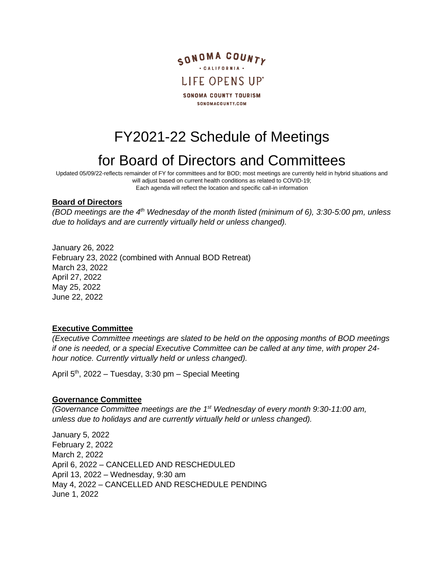

# FY2021-22 Schedule of Meetings

## for Board of Directors and Committees

Updated 05/09/22-reflects remainder of FY for committees and for BOD; most meetings are currently held in hybrid situations and will adjust based on current health conditions as related to COVID-19; Each agenda will reflect the location and specific call-in information

#### **Board of Directors**

*(BOD meetings are the 4th Wednesday of the month listed (minimum of 6), 3:30-5:00 pm, unless due to holidays and are currently virtually held or unless changed).*

January 26, 2022

February 23, 2022 (combined with Annual BOD Retreat) March 23, 2022 April 27, 2022 May 25, 2022 June 22, 2022

#### **Executive Committee**

*(Executive Committee meetings are slated to be held on the opposing months of BOD meetings if one is needed, or a special Executive Committee can be called at any time, with proper 24 hour notice. Currently virtually held or unless changed).*

April 5<sup>th</sup>, 2022 – Tuesday, 3:30 pm – Special Meeting

#### **Governance Committee**

*(Governance Committee meetings are the 1st Wednesday of every month 9:30-11:00 am, unless due to holidays and are currently virtually held or unless changed).*

January 5, 2022 February 2, 2022 March 2, 2022 April 6, 2022 – CANCELLED AND RESCHEDULED April 13, 2022 – Wednesday, 9:30 am May 4, 2022 – CANCELLED AND RESCHEDULE PENDING June 1, 2022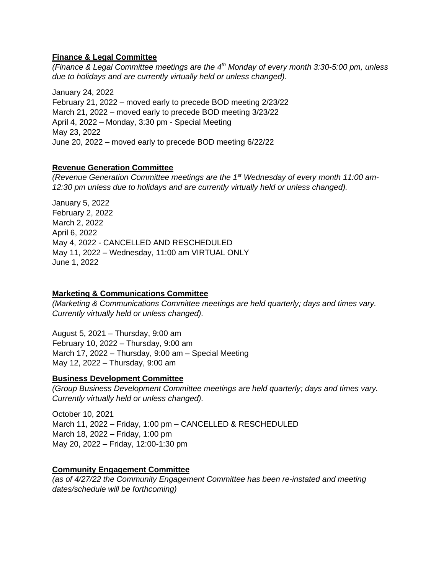### **Finance & Legal Committee**

*(Finance & Legal Committee meetings are the 4 th Monday of every month 3:30-5:00 pm, unless due to holidays and are currently virtually held or unless changed).*

January 24, 2022 February 21, 2022 – moved early to precede BOD meeting 2/23/22 March 21, 2022 – moved early to precede BOD meeting 3/23/22 April 4, 2022 – Monday, 3:30 pm - Special Meeting May 23, 2022 June 20, 2022 – moved early to precede BOD meeting 6/22/22

### **Revenue Generation Committee**

*(Revenue Generation Committee meetings are the 1st Wednesday of every month 11:00 am-12:30 pm unless due to holidays and are currently virtually held or unless changed).*

January 5, 2022 February 2, 2022 March 2, 2022 April 6, 2022 May 4, 2022 - CANCELLED AND RESCHEDULED May 11, 2022 – Wednesday, 11:00 am VIRTUAL ONLY June 1, 2022

#### **Marketing & Communications Committee**

*(Marketing & Communications Committee meetings are held quarterly; days and times vary. Currently virtually held or unless changed).*

August 5, 2021 – Thursday, 9:00 am February 10, 2022 – Thursday, 9:00 am March 17, 2022 – Thursday, 9:00 am – Special Meeting May 12, 2022 – Thursday, 9:00 am

## **Business Development Committee**

*(Group Business Development Committee meetings are held quarterly; days and times vary. Currently virtually held or unless changed).*

October 10, 2021 March 11, 2022 – Friday, 1:00 pm – CANCELLED & RESCHEDULED March 18, 2022 – Friday, 1:00 pm May 20, 2022 – Friday, 12:00-1:30 pm

#### **Community Engagement Committee**

*(as of 4/27/22 the Community Engagement Committee has been re-instated and meeting dates/schedule will be forthcoming)*